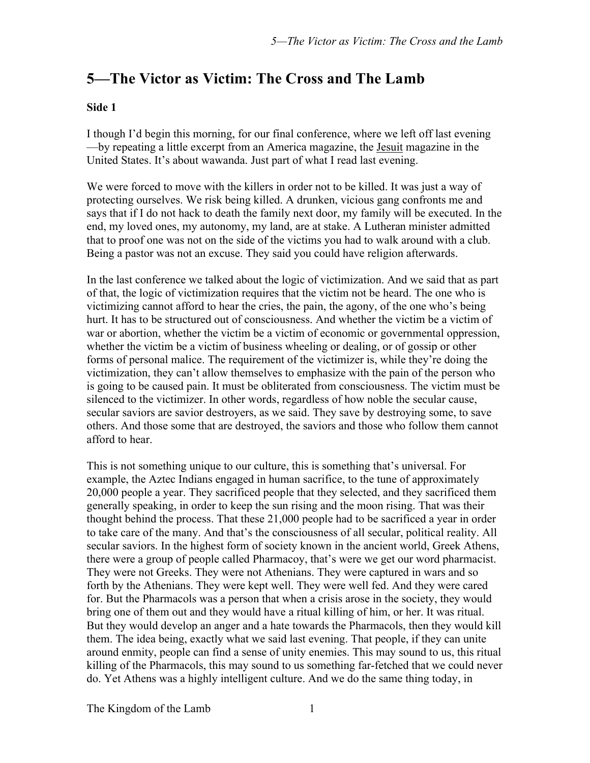## **5—The Victor as Victim: The Cross and The Lamb**

## **Side 1**

I though I'd begin this morning, for our final conference, where we left off last evening —by repeating a little excerpt from an America magazine, the Jesuit magazine in the United States. It's about wawanda. Just part of what I read last evening.

We were forced to move with the killers in order not to be killed. It was just a way of protecting ourselves. We risk being killed. A drunken, vicious gang confronts me and says that if I do not hack to death the family next door, my family will be executed. In the end, my loved ones, my autonomy, my land, are at stake. A Lutheran minister admitted that to proof one was not on the side of the victims you had to walk around with a club. Being a pastor was not an excuse. They said you could have religion afterwards.

In the last conference we talked about the logic of victimization. And we said that as part of that, the logic of victimization requires that the victim not be heard. The one who is victimizing cannot afford to hear the cries, the pain, the agony, of the one who's being hurt. It has to be structured out of consciousness. And whether the victim be a victim of war or abortion, whether the victim be a victim of economic or governmental oppression, whether the victim be a victim of business wheeling or dealing, or of gossip or other forms of personal malice. The requirement of the victimizer is, while they're doing the victimization, they can't allow themselves to emphasize with the pain of the person who is going to be caused pain. It must be obliterated from consciousness. The victim must be silenced to the victimizer. In other words, regardless of how noble the secular cause, secular saviors are savior destroyers, as we said. They save by destroying some, to save others. And those some that are destroyed, the saviors and those who follow them cannot afford to hear.

This is not something unique to our culture, this is something that's universal. For example, the Aztec Indians engaged in human sacrifice, to the tune of approximately 20,000 people a year. They sacrificed people that they selected, and they sacrificed them generally speaking, in order to keep the sun rising and the moon rising. That was their thought behind the process. That these 21,000 people had to be sacrificed a year in order to take care of the many. And that's the consciousness of all secular, political reality. All secular saviors. In the highest form of society known in the ancient world, Greek Athens, there were a group of people called Pharmacoy, that's were we get our word pharmacist. They were not Greeks. They were not Athenians. They were captured in wars and so forth by the Athenians. They were kept well. They were well fed. And they were cared for. But the Pharmacols was a person that when a crisis arose in the society, they would bring one of them out and they would have a ritual killing of him, or her. It was ritual. But they would develop an anger and a hate towards the Pharmacols, then they would kill them. The idea being, exactly what we said last evening. That people, if they can unite around enmity, people can find a sense of unity enemies. This may sound to us, this ritual killing of the Pharmacols, this may sound to us something far-fetched that we could never do. Yet Athens was a highly intelligent culture. And we do the same thing today, in

The Kingdom of the Lamb 1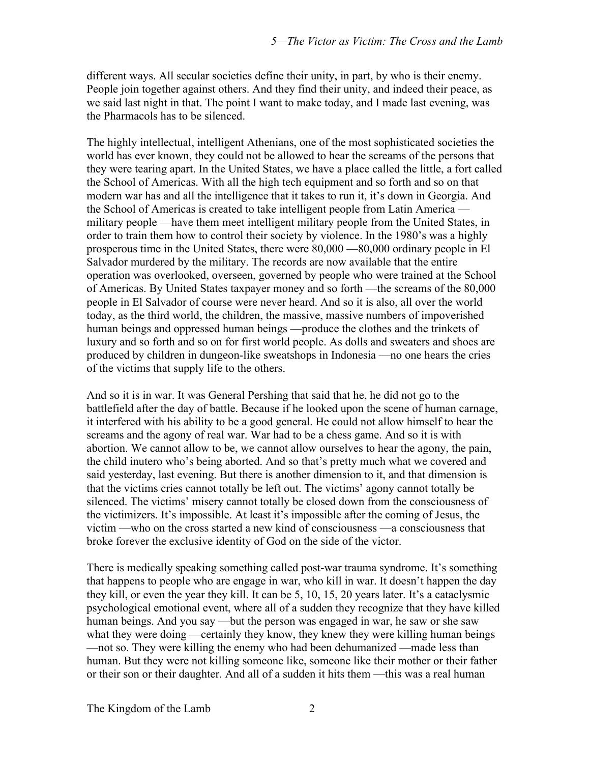different ways. All secular societies define their unity, in part, by who is their enemy. People join together against others. And they find their unity, and indeed their peace, as we said last night in that. The point I want to make today, and I made last evening, was the Pharmacols has to be silenced.

The highly intellectual, intelligent Athenians, one of the most sophisticated societies the world has ever known, they could not be allowed to hear the screams of the persons that they were tearing apart. In the United States, we have a place called the little, a fort called the School of Americas. With all the high tech equipment and so forth and so on that modern war has and all the intelligence that it takes to run it, it's down in Georgia. And the School of Americas is created to take intelligent people from Latin America military people —have them meet intelligent military people from the United States, in order to train them how to control their society by violence. In the 1980's was a highly prosperous time in the United States, there were 80,000 —80,000 ordinary people in El Salvador murdered by the military. The records are now available that the entire operation was overlooked, overseen, governed by people who were trained at the School of Americas. By United States taxpayer money and so forth —the screams of the 80,000 people in El Salvador of course were never heard. And so it is also, all over the world today, as the third world, the children, the massive, massive numbers of impoverished human beings and oppressed human beings —produce the clothes and the trinkets of luxury and so forth and so on for first world people. As dolls and sweaters and shoes are produced by children in dungeon-like sweatshops in Indonesia —no one hears the cries of the victims that supply life to the others.

And so it is in war. It was General Pershing that said that he, he did not go to the battlefield after the day of battle. Because if he looked upon the scene of human carnage, it interfered with his ability to be a good general. He could not allow himself to hear the screams and the agony of real war. War had to be a chess game. And so it is with abortion. We cannot allow to be, we cannot allow ourselves to hear the agony, the pain, the child inutero who's being aborted. And so that's pretty much what we covered and said yesterday, last evening. But there is another dimension to it, and that dimension is that the victims cries cannot totally be left out. The victims' agony cannot totally be silenced. The victims' misery cannot totally be closed down from the consciousness of the victimizers. It's impossible. At least it's impossible after the coming of Jesus, the victim —who on the cross started a new kind of consciousness —a consciousness that broke forever the exclusive identity of God on the side of the victor.

There is medically speaking something called post-war trauma syndrome. It's something that happens to people who are engage in war, who kill in war. It doesn't happen the day they kill, or even the year they kill. It can be 5, 10, 15, 20 years later. It's a cataclysmic psychological emotional event, where all of a sudden they recognize that they have killed human beings. And you say —but the person was engaged in war, he saw or she saw what they were doing —certainly they know, they knew they were killing human beings —not so. They were killing the enemy who had been dehumanized —made less than human. But they were not killing someone like, someone like their mother or their father or their son or their daughter. And all of a sudden it hits them —this was a real human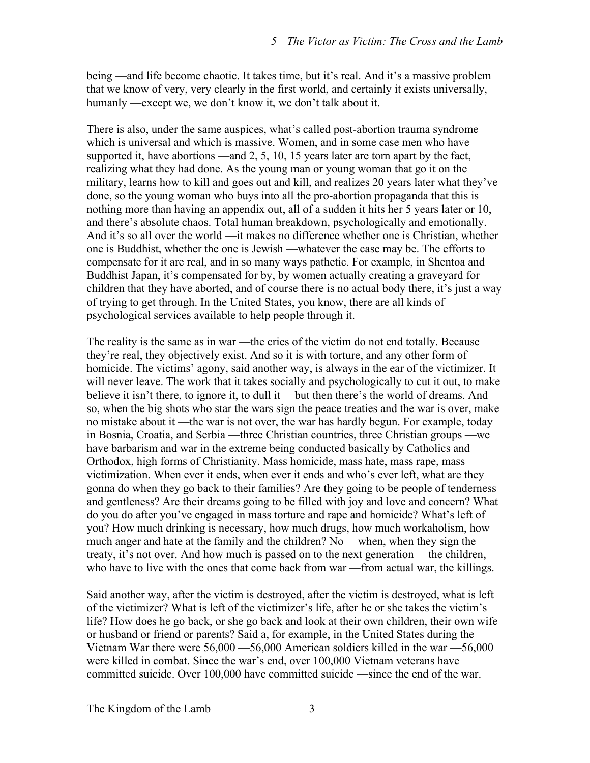being —and life become chaotic. It takes time, but it's real. And it's a massive problem that we know of very, very clearly in the first world, and certainly it exists universally, humanly —except we, we don't know it, we don't talk about it.

There is also, under the same auspices, what's called post-abortion trauma syndrome which is universal and which is massive. Women, and in some case men who have supported it, have abortions —and 2, 5, 10, 15 years later are torn apart by the fact, realizing what they had done. As the young man or young woman that go it on the military, learns how to kill and goes out and kill, and realizes 20 years later what they've done, so the young woman who buys into all the pro-abortion propaganda that this is nothing more than having an appendix out, all of a sudden it hits her 5 years later or 10, and there's absolute chaos. Total human breakdown, psychologically and emotionally. And it's so all over the world —it makes no difference whether one is Christian, whether one is Buddhist, whether the one is Jewish —whatever the case may be. The efforts to compensate for it are real, and in so many ways pathetic. For example, in Shentoa and Buddhist Japan, it's compensated for by, by women actually creating a graveyard for children that they have aborted, and of course there is no actual body there, it's just a way of trying to get through. In the United States, you know, there are all kinds of psychological services available to help people through it.

The reality is the same as in war —the cries of the victim do not end totally. Because they're real, they objectively exist. And so it is with torture, and any other form of homicide. The victims' agony, said another way, is always in the ear of the victimizer. It will never leave. The work that it takes socially and psychologically to cut it out, to make believe it isn't there, to ignore it, to dull it —but then there's the world of dreams. And so, when the big shots who star the wars sign the peace treaties and the war is over, make no mistake about it —the war is not over, the war has hardly begun. For example, today in Bosnia, Croatia, and Serbia —three Christian countries, three Christian groups —we have barbarism and war in the extreme being conducted basically by Catholics and Orthodox, high forms of Christianity. Mass homicide, mass hate, mass rape, mass victimization. When ever it ends, when ever it ends and who's ever left, what are they gonna do when they go back to their families? Are they going to be people of tenderness and gentleness? Are their dreams going to be filled with joy and love and concern? What do you do after you've engaged in mass torture and rape and homicide? What's left of you? How much drinking is necessary, how much drugs, how much workaholism, how much anger and hate at the family and the children? No —when, when they sign the treaty, it's not over. And how much is passed on to the next generation —the children, who have to live with the ones that come back from war—from actual war, the killings.

Said another way, after the victim is destroyed, after the victim is destroyed, what is left of the victimizer? What is left of the victimizer's life, after he or she takes the victim's life? How does he go back, or she go back and look at their own children, their own wife or husband or friend or parents? Said a, for example, in the United States during the Vietnam War there were 56,000 —56,000 American soldiers killed in the war —56,000 were killed in combat. Since the war's end, over 100,000 Vietnam veterans have committed suicide. Over 100,000 have committed suicide —since the end of the war.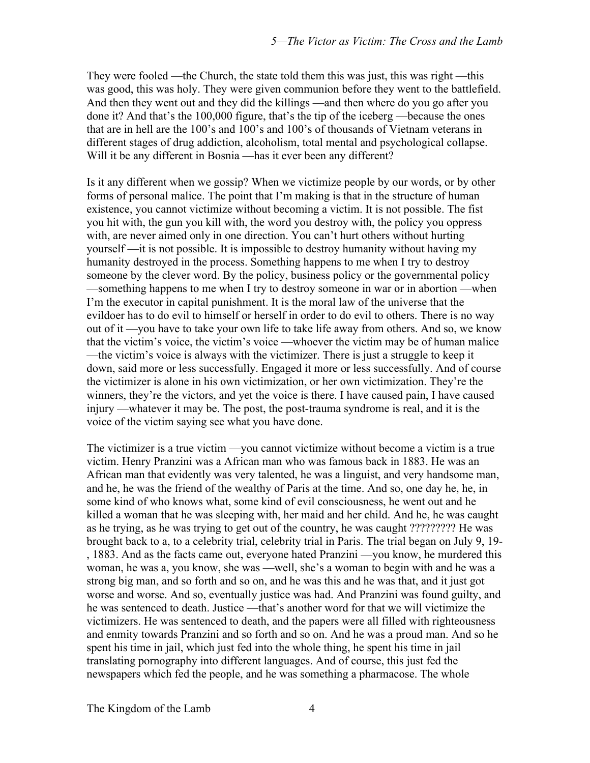They were fooled —the Church, the state told them this was just, this was right —this was good, this was holy. They were given communion before they went to the battlefield. And then they went out and they did the killings —and then where do you go after you done it? And that's the 100,000 figure, that's the tip of the iceberg —because the ones that are in hell are the 100's and 100's and 100's of thousands of Vietnam veterans in different stages of drug addiction, alcoholism, total mental and psychological collapse. Will it be any different in Bosnia —has it ever been any different?

Is it any different when we gossip? When we victimize people by our words, or by other forms of personal malice. The point that I'm making is that in the structure of human existence, you cannot victimize without becoming a victim. It is not possible. The fist you hit with, the gun you kill with, the word you destroy with, the policy you oppress with, are never aimed only in one direction. You can't hurt others without hurting yourself —it is not possible. It is impossible to destroy humanity without having my humanity destroyed in the process. Something happens to me when I try to destroy someone by the clever word. By the policy, business policy or the governmental policy —something happens to me when I try to destroy someone in war or in abortion —when I'm the executor in capital punishment. It is the moral law of the universe that the evildoer has to do evil to himself or herself in order to do evil to others. There is no way out of it —you have to take your own life to take life away from others. And so, we know that the victim's voice, the victim's voice —whoever the victim may be of human malice —the victim's voice is always with the victimizer. There is just a struggle to keep it down, said more or less successfully. Engaged it more or less successfully. And of course the victimizer is alone in his own victimization, or her own victimization. They're the winners, they're the victors, and yet the voice is there. I have caused pain, I have caused injury —whatever it may be. The post, the post-trauma syndrome is real, and it is the voice of the victim saying see what you have done.

The victimizer is a true victim —you cannot victimize without become a victim is a true victim. Henry Pranzini was a African man who was famous back in 1883. He was an African man that evidently was very talented, he was a linguist, and very handsome man, and he, he was the friend of the wealthy of Paris at the time. And so, one day he, he, in some kind of who knows what, some kind of evil consciousness, he went out and he killed a woman that he was sleeping with, her maid and her child. And he, he was caught as he trying, as he was trying to get out of the country, he was caught ????????? He was brought back to a, to a celebrity trial, celebrity trial in Paris. The trial began on July 9, 19- , 1883. And as the facts came out, everyone hated Pranzini —you know, he murdered this woman, he was a, you know, she was —well, she's a woman to begin with and he was a strong big man, and so forth and so on, and he was this and he was that, and it just got worse and worse. And so, eventually justice was had. And Pranzini was found guilty, and he was sentenced to death. Justice —that's another word for that we will victimize the victimizers. He was sentenced to death, and the papers were all filled with righteousness and enmity towards Pranzini and so forth and so on. And he was a proud man. And so he spent his time in jail, which just fed into the whole thing, he spent his time in jail translating pornography into different languages. And of course, this just fed the newspapers which fed the people, and he was something a pharmacose. The whole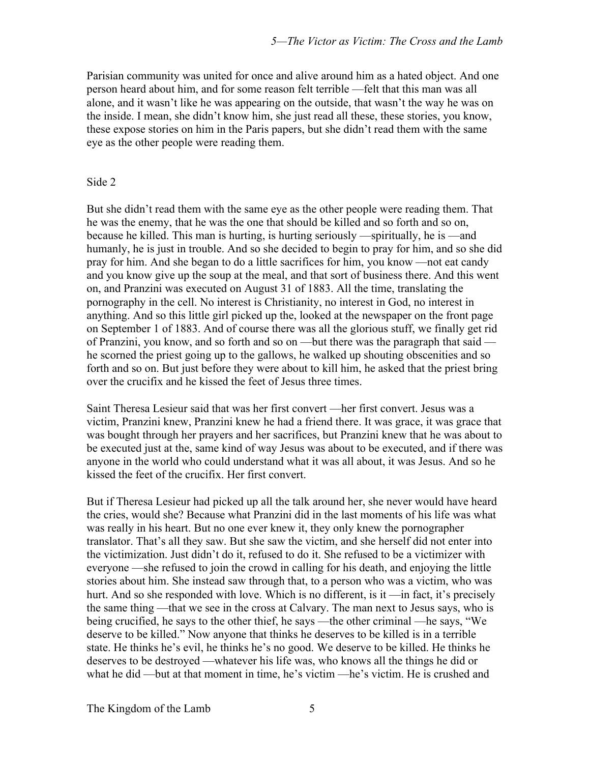Parisian community was united for once and alive around him as a hated object. And one person heard about him, and for some reason felt terrible —felt that this man was all alone, and it wasn't like he was appearing on the outside, that wasn't the way he was on the inside. I mean, she didn't know him, she just read all these, these stories, you know, these expose stories on him in the Paris papers, but she didn't read them with the same eye as the other people were reading them.

## Side 2

But she didn't read them with the same eye as the other people were reading them. That he was the enemy, that he was the one that should be killed and so forth and so on, because he killed. This man is hurting, is hurting seriously —spiritually, he is —and humanly, he is just in trouble. And so she decided to begin to pray for him, and so she did pray for him. And she began to do a little sacrifices for him, you know —not eat candy and you know give up the soup at the meal, and that sort of business there. And this went on, and Pranzini was executed on August 31 of 1883. All the time, translating the pornography in the cell. No interest is Christianity, no interest in God, no interest in anything. And so this little girl picked up the, looked at the newspaper on the front page on September 1 of 1883. And of course there was all the glorious stuff, we finally get rid of Pranzini, you know, and so forth and so on —but there was the paragraph that said he scorned the priest going up to the gallows, he walked up shouting obscenities and so forth and so on. But just before they were about to kill him, he asked that the priest bring over the crucifix and he kissed the feet of Jesus three times.

Saint Theresa Lesieur said that was her first convert —her first convert. Jesus was a victim, Pranzini knew, Pranzini knew he had a friend there. It was grace, it was grace that was bought through her prayers and her sacrifices, but Pranzini knew that he was about to be executed just at the, same kind of way Jesus was about to be executed, and if there was anyone in the world who could understand what it was all about, it was Jesus. And so he kissed the feet of the crucifix. Her first convert.

But if Theresa Lesieur had picked up all the talk around her, she never would have heard the cries, would she? Because what Pranzini did in the last moments of his life was what was really in his heart. But no one ever knew it, they only knew the pornographer translator. That's all they saw. But she saw the victim, and she herself did not enter into the victimization. Just didn't do it, refused to do it. She refused to be a victimizer with everyone —she refused to join the crowd in calling for his death, and enjoying the little stories about him. She instead saw through that, to a person who was a victim, who was hurt. And so she responded with love. Which is no different, is it —in fact, it's precisely the same thing —that we see in the cross at Calvary. The man next to Jesus says, who is being crucified, he says to the other thief, he says —the other criminal —he says, "We deserve to be killed." Now anyone that thinks he deserves to be killed is in a terrible state. He thinks he's evil, he thinks he's no good. We deserve to be killed. He thinks he deserves to be destroyed —whatever his life was, who knows all the things he did or what he did —but at that moment in time, he's victim —he's victim. He is crushed and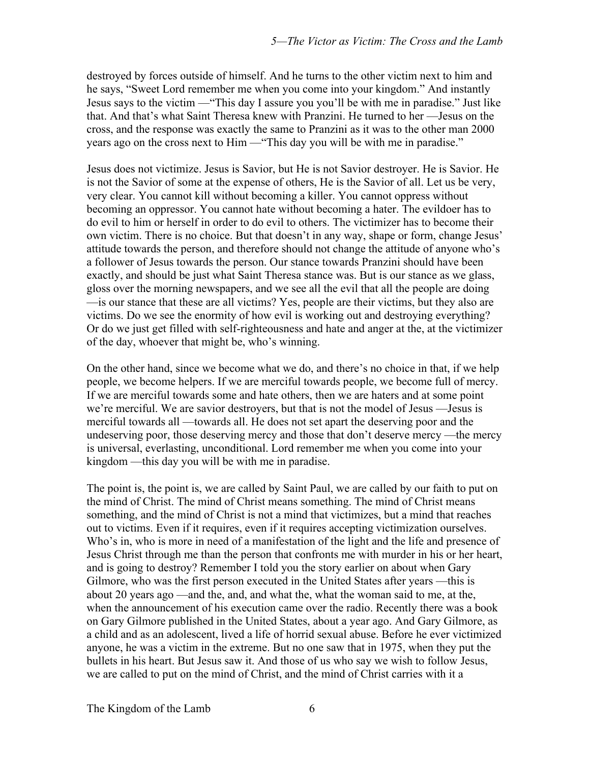destroyed by forces outside of himself. And he turns to the other victim next to him and he says, "Sweet Lord remember me when you come into your kingdom." And instantly Jesus says to the victim —"This day I assure you you'll be with me in paradise." Just like that. And that's what Saint Theresa knew with Pranzini. He turned to her —Jesus on the cross, and the response was exactly the same to Pranzini as it was to the other man 2000 years ago on the cross next to Him —"This day you will be with me in paradise."

Jesus does not victimize. Jesus is Savior, but He is not Savior destroyer. He is Savior. He is not the Savior of some at the expense of others, He is the Savior of all. Let us be very, very clear. You cannot kill without becoming a killer. You cannot oppress without becoming an oppressor. You cannot hate without becoming a hater. The evildoer has to do evil to him or herself in order to do evil to others. The victimizer has to become their own victim. There is no choice. But that doesn't in any way, shape or form, change Jesus' attitude towards the person, and therefore should not change the attitude of anyone who's a follower of Jesus towards the person. Our stance towards Pranzini should have been exactly, and should be just what Saint Theresa stance was. But is our stance as we glass, gloss over the morning newspapers, and we see all the evil that all the people are doing —is our stance that these are all victims? Yes, people are their victims, but they also are victims. Do we see the enormity of how evil is working out and destroying everything? Or do we just get filled with self-righteousness and hate and anger at the, at the victimizer of the day, whoever that might be, who's winning.

On the other hand, since we become what we do, and there's no choice in that, if we help people, we become helpers. If we are merciful towards people, we become full of mercy. If we are merciful towards some and hate others, then we are haters and at some point we're merciful. We are savior destroyers, but that is not the model of Jesus —Jesus is merciful towards all —towards all. He does not set apart the deserving poor and the undeserving poor, those deserving mercy and those that don't deserve mercy —the mercy is universal, everlasting, unconditional. Lord remember me when you come into your kingdom —this day you will be with me in paradise.

The point is, the point is, we are called by Saint Paul, we are called by our faith to put on the mind of Christ. The mind of Christ means something. The mind of Christ means something, and the mind of Christ is not a mind that victimizes, but a mind that reaches out to victims. Even if it requires, even if it requires accepting victimization ourselves. Who's in, who is more in need of a manifestation of the light and the life and presence of Jesus Christ through me than the person that confronts me with murder in his or her heart, and is going to destroy? Remember I told you the story earlier on about when Gary Gilmore, who was the first person executed in the United States after years —this is about 20 years ago —and the, and, and what the, what the woman said to me, at the, when the announcement of his execution came over the radio. Recently there was a book on Gary Gilmore published in the United States, about a year ago. And Gary Gilmore, as a child and as an adolescent, lived a life of horrid sexual abuse. Before he ever victimized anyone, he was a victim in the extreme. But no one saw that in 1975, when they put the bullets in his heart. But Jesus saw it. And those of us who say we wish to follow Jesus, we are called to put on the mind of Christ, and the mind of Christ carries with it a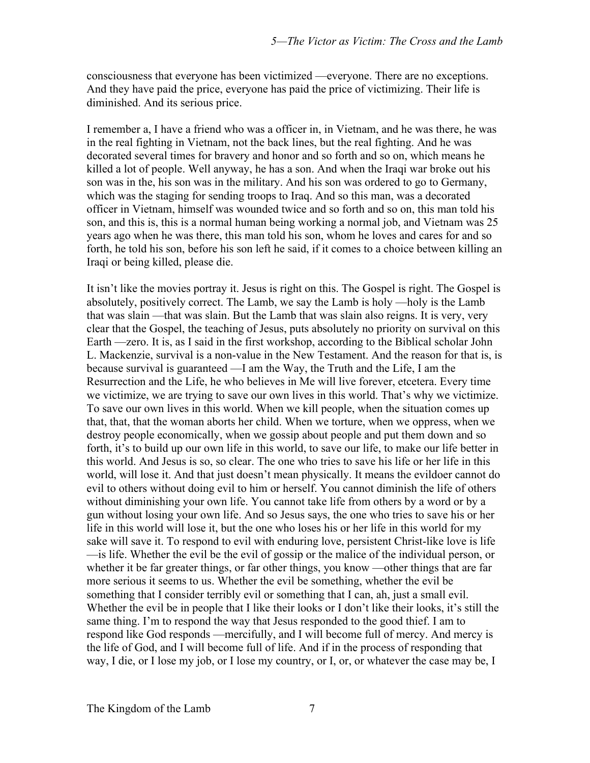consciousness that everyone has been victimized —everyone. There are no exceptions. And they have paid the price, everyone has paid the price of victimizing. Their life is diminished. And its serious price.

I remember a, I have a friend who was a officer in, in Vietnam, and he was there, he was in the real fighting in Vietnam, not the back lines, but the real fighting. And he was decorated several times for bravery and honor and so forth and so on, which means he killed a lot of people. Well anyway, he has a son. And when the Iraqi war broke out his son was in the, his son was in the military. And his son was ordered to go to Germany, which was the staging for sending troops to Iraq. And so this man, was a decorated officer in Vietnam, himself was wounded twice and so forth and so on, this man told his son, and this is, this is a normal human being working a normal job, and Vietnam was 25 years ago when he was there, this man told his son, whom he loves and cares for and so forth, he told his son, before his son left he said, if it comes to a choice between killing an Iraqi or being killed, please die.

It isn't like the movies portray it. Jesus is right on this. The Gospel is right. The Gospel is absolutely, positively correct. The Lamb, we say the Lamb is holy —holy is the Lamb that was slain —that was slain. But the Lamb that was slain also reigns. It is very, very clear that the Gospel, the teaching of Jesus, puts absolutely no priority on survival on this Earth —zero. It is, as I said in the first workshop, according to the Biblical scholar John L. Mackenzie, survival is a non-value in the New Testament. And the reason for that is, is because survival is guaranteed —I am the Way, the Truth and the Life, I am the Resurrection and the Life, he who believes in Me will live forever, etcetera. Every time we victimize, we are trying to save our own lives in this world. That's why we victimize. To save our own lives in this world. When we kill people, when the situation comes up that, that, that the woman aborts her child. When we torture, when we oppress, when we destroy people economically, when we gossip about people and put them down and so forth, it's to build up our own life in this world, to save our life, to make our life better in this world. And Jesus is so, so clear. The one who tries to save his life or her life in this world, will lose it. And that just doesn't mean physically. It means the evildoer cannot do evil to others without doing evil to him or herself. You cannot diminish the life of others without diminishing your own life. You cannot take life from others by a word or by a gun without losing your own life. And so Jesus says, the one who tries to save his or her life in this world will lose it, but the one who loses his or her life in this world for my sake will save it. To respond to evil with enduring love, persistent Christ-like love is life —is life. Whether the evil be the evil of gossip or the malice of the individual person, or whether it be far greater things, or far other things, you know —other things that are far more serious it seems to us. Whether the evil be something, whether the evil be something that I consider terribly evil or something that I can, ah, just a small evil. Whether the evil be in people that I like their looks or I don't like their looks, it's still the same thing. I'm to respond the way that Jesus responded to the good thief. I am to respond like God responds —mercifully, and I will become full of mercy. And mercy is the life of God, and I will become full of life. And if in the process of responding that way, I die, or I lose my job, or I lose my country, or I, or, or whatever the case may be, I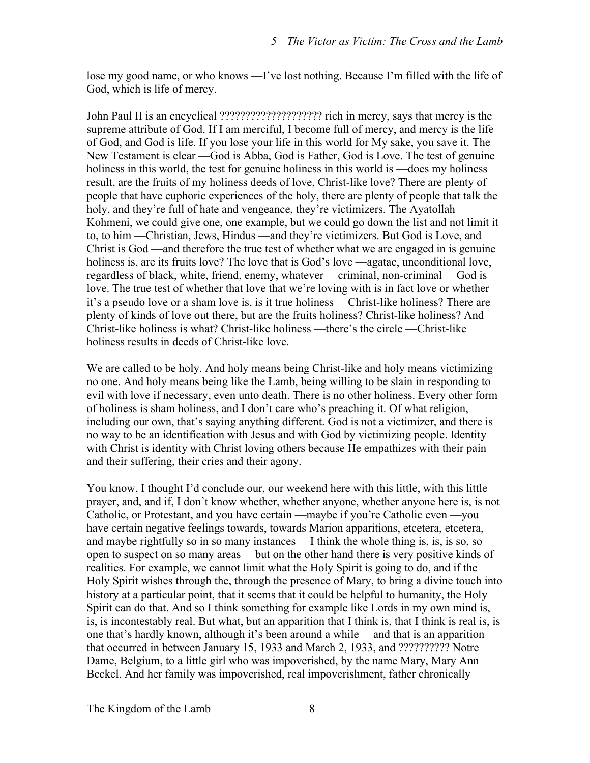lose my good name, or who knows —I've lost nothing. Because I'm filled with the life of God, which is life of mercy.

John Paul II is an encyclical ???????????????????? rich in mercy, says that mercy is the supreme attribute of God. If I am merciful, I become full of mercy, and mercy is the life of God, and God is life. If you lose your life in this world for My sake, you save it. The New Testament is clear —God is Abba, God is Father, God is Love. The test of genuine holiness in this world, the test for genuine holiness in this world is —does my holiness result, are the fruits of my holiness deeds of love, Christ-like love? There are plenty of people that have euphoric experiences of the holy, there are plenty of people that talk the holy, and they're full of hate and vengeance, they're victimizers. The Ayatollah Kohmeni, we could give one, one example, but we could go down the list and not limit it to, to him —Christian, Jews, Hindus —and they're victimizers. But God is Love, and Christ is God —and therefore the true test of whether what we are engaged in is genuine holiness is, are its fruits love? The love that is God's love —agatae, unconditional love, regardless of black, white, friend, enemy, whatever —criminal, non-criminal —God is love. The true test of whether that love that we're loving with is in fact love or whether it's a pseudo love or a sham love is, is it true holiness —Christ-like holiness? There are plenty of kinds of love out there, but are the fruits holiness? Christ-like holiness? And Christ-like holiness is what? Christ-like holiness —there's the circle —Christ-like holiness results in deeds of Christ-like love.

We are called to be holy. And holy means being Christ-like and holy means victimizing no one. And holy means being like the Lamb, being willing to be slain in responding to evil with love if necessary, even unto death. There is no other holiness. Every other form of holiness is sham holiness, and I don't care who's preaching it. Of what religion, including our own, that's saying anything different. God is not a victimizer, and there is no way to be an identification with Jesus and with God by victimizing people. Identity with Christ is identity with Christ loving others because He empathizes with their pain and their suffering, their cries and their agony.

You know, I thought I'd conclude our, our weekend here with this little, with this little prayer, and, and if, I don't know whether, whether anyone, whether anyone here is, is not Catholic, or Protestant, and you have certain —maybe if you're Catholic even —you have certain negative feelings towards, towards Marion apparitions, etcetera, etcetera, and maybe rightfully so in so many instances —I think the whole thing is, is, is so, so open to suspect on so many areas —but on the other hand there is very positive kinds of realities. For example, we cannot limit what the Holy Spirit is going to do, and if the Holy Spirit wishes through the, through the presence of Mary, to bring a divine touch into history at a particular point, that it seems that it could be helpful to humanity, the Holy Spirit can do that. And so I think something for example like Lords in my own mind is, is, is incontestably real. But what, but an apparition that I think is, that I think is real is, is one that's hardly known, although it's been around a while —and that is an apparition that occurred in between January 15, 1933 and March 2, 1933, and ?????????? Notre Dame, Belgium, to a little girl who was impoverished, by the name Mary, Mary Ann Beckel. And her family was impoverished, real impoverishment, father chronically